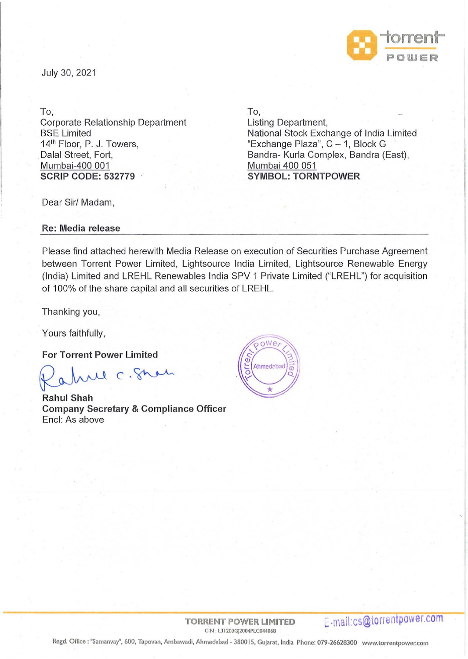

July 30, 2021

To,

Corporate Relationship Department BSE Limited 14<sup>th</sup> Floor, P. J. Towers, Dalal Street, Fort, Mumbai-400 001 **SCRIP CODE: 532779** 

To,

Listing Department, National Stock Exchange of India Limited "Exchange Plaza",  $C - 1$ , Block G Sandra- Kurla Complex, Sandra (East), Mumbai 400 051 **SYMBOL: TORNTPOWER** 

Dear Sir/ Madam,

**Re: Media release** 

Please find attached herewith Media Release on execution of Securities Purchase Agreement between Torrent Power Limited, Lightsource India Limited, Lightsource Renewable Energy (India) Limited and LREHL Renewables India SPV 1 Private Limited ("LREHL") for acquisition of 100% of the share capital and all securities of LREHL.

Thanking you,

Yours faithfully,

**For Torrent Power Limited** 

arl C. Shah

**Rahul Shah Company Secretary & Compliance Officer**  Encl: As above



Regd. Orflce: "Samanvay", 600, Tapovan, Ambawadl, Ahmedabad- 380015, Gujarat, India Phone: 079-26628300 www.torrentpower.com